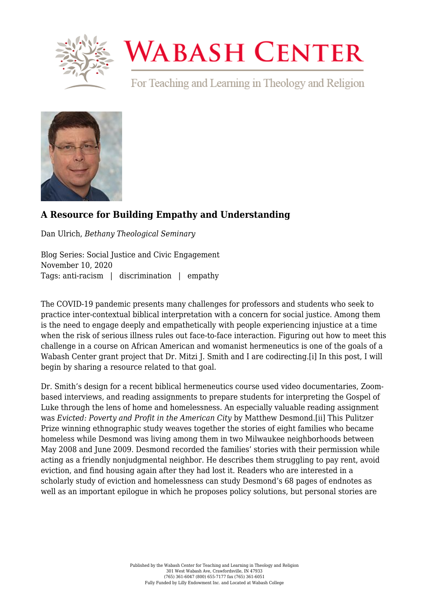

## **WABASH CENTER**

For Teaching and Learning in Theology and Religion



## **[A Resource for Building Empathy and Understanding](https://www.wabashcenter.wabash.edu/2020/11/a-resource-for-building-empathy-and-understanding/)**

Dan Ulrich, *Bethany Theological Seminary*

Blog Series: Social Justice and Civic Engagement November 10, 2020 Tags: anti-racism | discrimination | empathy

The COVID-19 pandemic presents many challenges for professors and students who seek to practice inter-contextual biblical interpretation with a concern for social justice. Among them is the need to engage deeply and empathetically with people experiencing injustice at a time when the risk of serious illness rules out face-to-face interaction. Figuring out how to meet this challenge in a course on African American and womanist hermeneutics is one of the goals of a Wabash Center grant project that Dr. Mitzi J. Smith and I are codirecting.[\[i\]](#page-2-0) In this post, I will begin by sharing a resource related to that goal.

<span id="page-0-1"></span><span id="page-0-0"></span>Dr. Smith's design for a recent biblical hermeneutics course used video documentaries, Zoombased interviews, and reading assignments to prepare students for interpreting the Gospel of Luke through the lens of home and homelessness. An especially valuable reading assignment was *Evicted: Poverty and Profit in the American City* by Matthew Desmond.[\[ii\]](#page-2-1) This Pulitzer Prize winning ethnographic study weaves together the stories of eight families who became homeless while Desmond was living among them in two Milwaukee neighborhoods between May 2008 and June 2009. Desmond recorded the families' stories with their permission while acting as a friendly nonjudgmental neighbor. He describes them struggling to pay rent, avoid eviction, and find housing again after they had lost it. Readers who are interested in a scholarly study of eviction and homelessness can study Desmond's 68 pages of endnotes as well as an important epilogue in which he proposes policy solutions, but personal stories are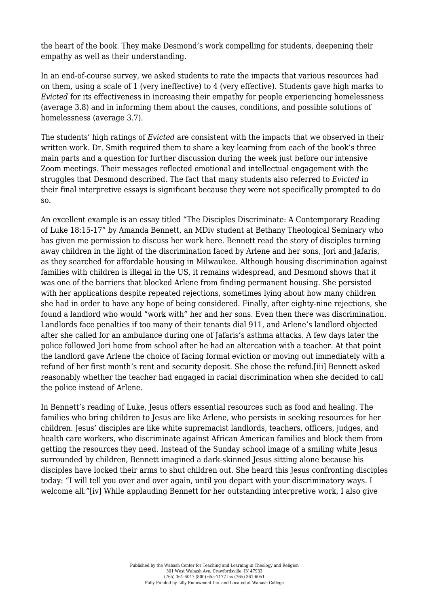the heart of the book. They make Desmond's work compelling for students, deepening their empathy as well as their understanding.

In an end-of-course survey, we asked students to rate the impacts that various resources had on them, using a scale of 1 (very ineffective) to 4 (very effective). Students gave high marks to *Evicted* for its effectiveness in increasing their empathy for people experiencing homelessness (average 3.8) and in informing them about the causes, conditions, and possible solutions of homelessness (average 3.7).

The students' high ratings of *Evicted* are consistent with the impacts that we observed in their written work. Dr. Smith required them to share a key learning from each of the book's three main parts and a question for further discussion during the week just before our intensive Zoom meetings. Their messages reflected emotional and intellectual engagement with the struggles that Desmond described. The fact that many students also referred to *Evicted* in their final interpretive essays is significant because they were not specifically prompted to do so.

An excellent example is an essay titled "The Disciples Discriminate: A Contemporary Reading of Luke 18:15-17" by Amanda Bennett, an MDiv student at Bethany Theological Seminary who has given me permission to discuss her work here. Bennett read the story of disciples turning away children in the light of the discrimination faced by Arlene and her sons, Jori and Jafaris, as they searched for affordable housing in Milwaukee. Although housing discrimination against families with children is illegal in the US, it remains widespread, and Desmond shows that it was one of the barriers that blocked Arlene from finding permanent housing. She persisted with her applications despite repeated rejections, sometimes lying about how many children she had in order to have any hope of being considered. Finally, after eighty-nine rejections, she found a landlord who would "work with" her and her sons. Even then there was discrimination. Landlords face penalties if too many of their tenants dial 911, and Arlene's landlord objected after she called for an ambulance during one of Jafaris's asthma attacks. A few days later the police followed Jori home from school after he had an altercation with a teacher. At that point the landlord gave Arlene the choice of facing formal eviction or moving out immediately with a refund of her first month's rent and security deposit. She chose the refund[.\[iii\]](#page-2-2) Bennett asked reasonably whether the teacher had engaged in racial discrimination when she decided to call the police instead of Arlene.

<span id="page-1-1"></span><span id="page-1-0"></span>In Bennett's reading of Luke, Jesus offers essential resources such as food and healing. The families who bring children to Jesus are like Arlene, who persists in seeking resources for her children. Jesus' disciples are like white supremacist landlords, teachers, officers, judges, and health care workers, who discriminate against African American families and block them from getting the resources they need. Instead of the Sunday school image of a smiling white Jesus surrounded by children, Bennett imagined a dark-skinned Jesus sitting alone because his disciples have locked their arms to shut children out. She heard this Jesus confronting disciples today: "I will tell you over and over again, until you depart with your discriminatory ways. I welcome all."[\[iv\]](#page-2-3) While applauding Bennett for her outstanding interpretive work, I also give